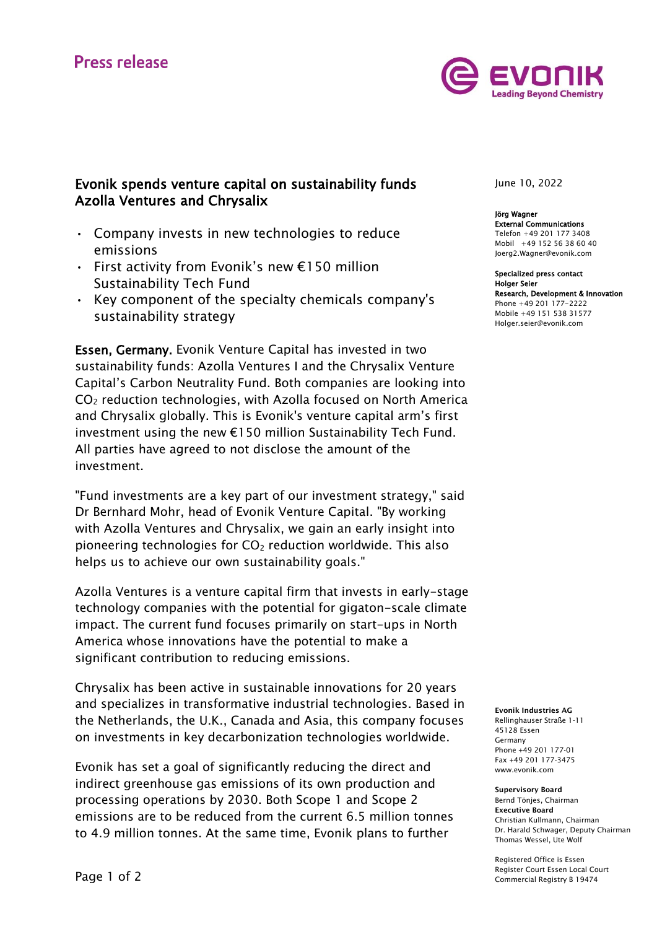

## Evonik spends venture capital on sustainability funds Azolla Ventures and Chrysalix

- Company invests in new technologies to reduce emissions
- First activity from Evonik's new €150 million Sustainability Tech Fund
- Key component of the specialty chemicals company's sustainability strategy

Essen, Germany. Evonik Venture Capital has invested in two sustainability funds: Azolla Ventures I and the Chrysalix Venture Capital's Carbon Neutrality Fund. Both companies are looking into CO<sup>2</sup> reduction technologies, with Azolla focused on North America and Chrysalix globally. This is Evonik's venture capital arm's first investment using the new €150 million Sustainability Tech Fund. All parties have agreed to not disclose the amount of the investment.

"Fund investments are a key part of our investment strategy," said Dr Bernhard Mohr, head of Evonik Venture Capital. "By working with Azolla Ventures and Chrysalix, we gain an early insight into pioneering technologies for  $CO<sub>2</sub>$  reduction worldwide. This also helps us to achieve our own sustainability goals."

Azolla Ventures is a venture capital firm that invests in early-stage technology companies with the potential for gigaton-scale climate impact. The current fund focuses primarily on start-ups in North America whose innovations have the potential to make a significant contribution to reducing emissions.

Chrysalix has been active in sustainable innovations for 20 years and specializes in transformative industrial technologies. Based in the Netherlands, the U.K., Canada and Asia, this company focuses on investments in key decarbonization technologies worldwide.

Evonik has set a goal of significantly reducing the direct and indirect greenhouse gas emissions of its own production and processing operations by 2030. Both Scope 1 and Scope 2 emissions are to be reduced from the current 6.5 million tonnes to 4.9 million tonnes. At the same time, Evonik plans to further

June 10, 2022

Jörg Wagner External Communications Telefon +49 201 177 3408 Mobil +49 152 56 38 60 40 Joerg2.Wagner@evonik.com

Specialized press contact Holger Seier Research, Development & Innovation Phone +49 201 177-2222 Mobile +49 151 538 31577 Holger.seier@evonik.com

Evonik Industries AG Rellinghauser Straße 1-11 45128 Essen Germany Phone +49 201 177-01 Fax +49 201 177-3475 www.evonik.com

Supervisory Board Bernd Tönjes, Chairman Executive Board Christian Kullmann, Chairman Dr. Harald Schwager, Deputy Chairman Thomas Wessel, Ute Wolf

Registered Office is Essen Register Court Essen Local Court Commercial Registry B 19474